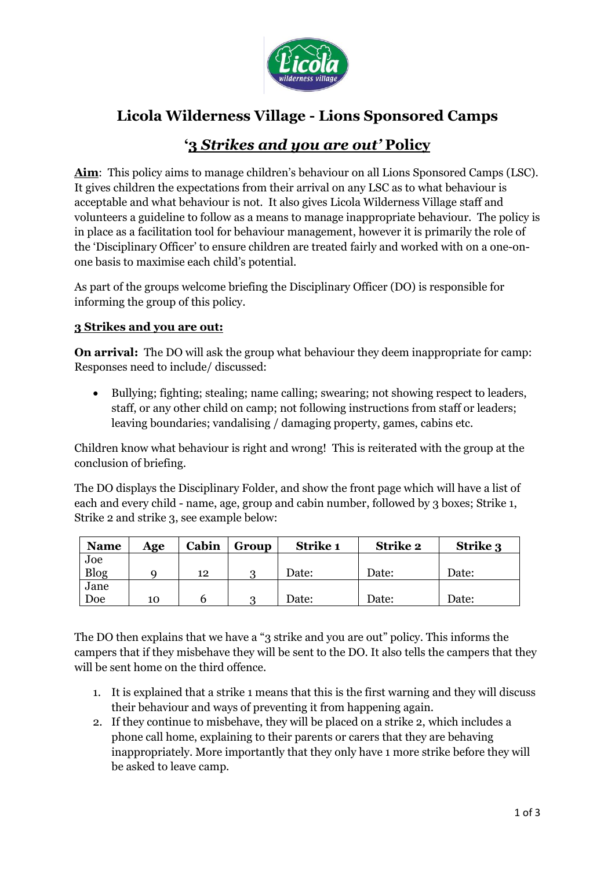

# **Licola Wilderness Village - Lions Sponsored Camps**

## **'3** *Strikes and you are out'* **Policy**

**Aim**: This policy aims to manage children's behaviour on all Lions Sponsored Camps (LSC). It gives children the expectations from their arrival on any LSC as to what behaviour is acceptable and what behaviour is not. It also gives Licola Wilderness Village staff and volunteers a guideline to follow as a means to manage inappropriate behaviour. The policy is in place as a facilitation tool for behaviour management, however it is primarily the role of the 'Disciplinary Officer' to ensure children are treated fairly and worked with on a one-onone basis to maximise each child's potential.

As part of the groups welcome briefing the Disciplinary Officer (DO) is responsible for informing the group of this policy.

#### **3 Strikes and you are out:**

**On arrival:** The DO will ask the group what behaviour they deem inappropriate for camp: Responses need to include/ discussed:

 Bullying; fighting; stealing; name calling; swearing; not showing respect to leaders, staff, or any other child on camp; not following instructions from staff or leaders; leaving boundaries; vandalising / damaging property, games, cabins etc.

Children know what behaviour is right and wrong! This is reiterated with the group at the conclusion of briefing.

The DO displays the Disciplinary Folder, and show the front page which will have a list of each and every child - name, age, group and cabin number, followed by 3 boxes; Strike 1, Strike 2 and strike 3, see example below:

| <b>Name</b> | Age | Cabin | Group | Strike 1 | <b>Strike 2</b> | <b>Strike 3</b> |
|-------------|-----|-------|-------|----------|-----------------|-----------------|
| Joe         |     |       |       |          |                 |                 |
| <b>Blog</b> |     | 12    | റ     | Date:    | Date:           | Date:           |
| Jane        |     |       |       |          |                 |                 |
| Doe         | 10  |       | റ     | Date:    | Date:           | Date:           |

The DO then explains that we have a "3 strike and you are out" policy. This informs the campers that if they misbehave they will be sent to the DO. It also tells the campers that they will be sent home on the third offence.

- 1. It is explained that a strike 1 means that this is the first warning and they will discuss their behaviour and ways of preventing it from happening again.
- 2. If they continue to misbehave, they will be placed on a strike 2, which includes a phone call home, explaining to their parents or carers that they are behaving inappropriately. More importantly that they only have 1 more strike before they will be asked to leave camp.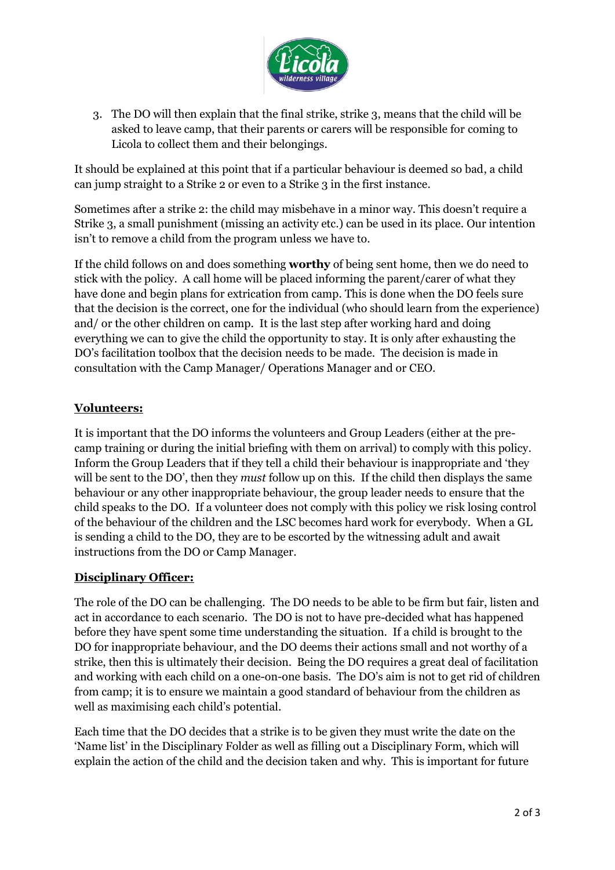

3. The DO will then explain that the final strike, strike 3, means that the child will be asked to leave camp, that their parents or carers will be responsible for coming to Licola to collect them and their belongings.

It should be explained at this point that if a particular behaviour is deemed so bad, a child can jump straight to a Strike 2 or even to a Strike 3 in the first instance.

Sometimes after a strike 2: the child may misbehave in a minor way. This doesn't require a Strike 3, a small punishment (missing an activity etc.) can be used in its place. Our intention isn't to remove a child from the program unless we have to.

If the child follows on and does something **worthy** of being sent home, then we do need to stick with the policy. A call home will be placed informing the parent/carer of what they have done and begin plans for extrication from camp. This is done when the DO feels sure that the decision is the correct, one for the individual (who should learn from the experience) and/ or the other children on camp. It is the last step after working hard and doing everything we can to give the child the opportunity to stay. It is only after exhausting the DO's facilitation toolbox that the decision needs to be made. The decision is made in consultation with the Camp Manager/ Operations Manager and or CEO.

## **Volunteers:**

It is important that the DO informs the volunteers and Group Leaders (either at the precamp training or during the initial briefing with them on arrival) to comply with this policy. Inform the Group Leaders that if they tell a child their behaviour is inappropriate and 'they will be sent to the DO', then they *must* follow up on this. If the child then displays the same behaviour or any other inappropriate behaviour, the group leader needs to ensure that the child speaks to the DO. If a volunteer does not comply with this policy we risk losing control of the behaviour of the children and the LSC becomes hard work for everybody. When a GL is sending a child to the DO, they are to be escorted by the witnessing adult and await instructions from the DO or Camp Manager.

## **Disciplinary Officer:**

The role of the DO can be challenging. The DO needs to be able to be firm but fair, listen and act in accordance to each scenario. The DO is not to have pre-decided what has happened before they have spent some time understanding the situation. If a child is brought to the DO for inappropriate behaviour, and the DO deems their actions small and not worthy of a strike, then this is ultimately their decision. Being the DO requires a great deal of facilitation and working with each child on a one-on-one basis. The DO's aim is not to get rid of children from camp; it is to ensure we maintain a good standard of behaviour from the children as well as maximising each child's potential.

Each time that the DO decides that a strike is to be given they must write the date on the 'Name list' in the Disciplinary Folder as well as filling out a Disciplinary Form, which will explain the action of the child and the decision taken and why. This is important for future